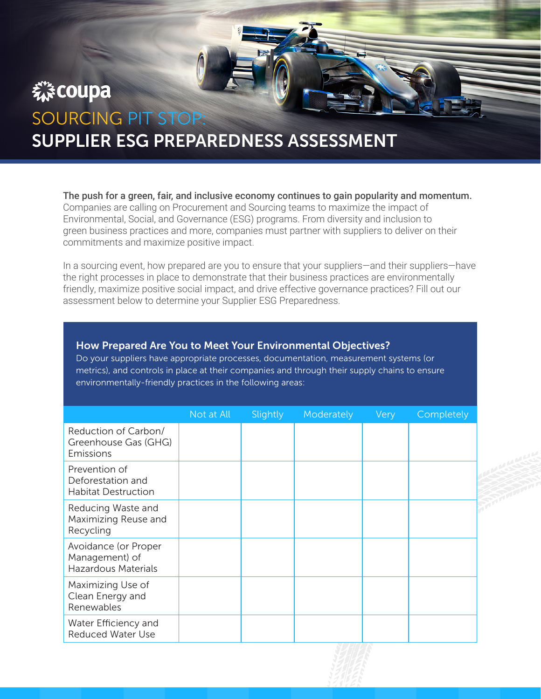# 森coupa SOURCING PIT STOP:

# SUPPLIER ESG PREPAREDNESS ASSESSMENT

The push for a green, fair, and inclusive economy continues to gain popularity and momentum. Companies are calling on Procurement and Sourcing teams to maximize the impact of Environmental, Social, and Governance (ESG) programs. From diversity and inclusion to green business practices and more, companies must partner with suppliers to deliver on their commitments and maximize positive impact.

In a sourcing event, how prepared are you to ensure that your suppliers—and their suppliers—have the right processes in place to demonstrate that their business practices are environmentally friendly, maximize positive social impact, and drive effective governance practices? Fill out our assessment below to determine your Supplier ESG Preparedness.

#### How Prepared Are You to Meet Your Environmental Objectives?

Do your suppliers have appropriate processes, documentation, measurement systems (or metrics), and controls in place at their companies and through their supply chains to ensure environmentally-friendly practices in the following areas:

|                                                                      | Not at All | Slightly | Moderately | Very | Completely |
|----------------------------------------------------------------------|------------|----------|------------|------|------------|
| Reduction of Carbon/<br>Greenhouse Gas (GHG)<br>Emissions            |            |          |            |      |            |
| Prevention of<br>Deforestation and<br><b>Habitat Destruction</b>     |            |          |            |      |            |
| Reducing Waste and<br>Maximizing Reuse and<br>Recycling              |            |          |            |      |            |
| Avoidance (or Proper<br>Management) of<br><b>Hazardous Materials</b> |            |          |            |      |            |
| Maximizing Use of<br>Clean Energy and<br>Renewables                  |            |          |            |      |            |
| Water Efficiency and<br><b>Reduced Water Use</b>                     |            |          |            |      |            |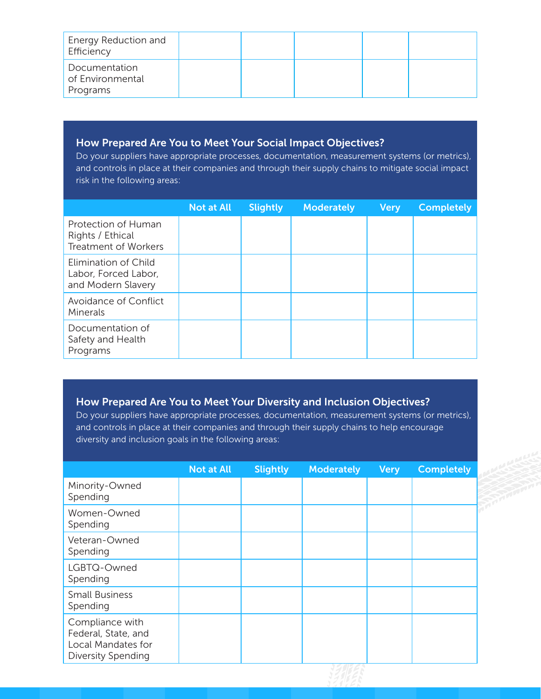| Energy Reduction and<br>Efficiency            |  |  |  |
|-----------------------------------------------|--|--|--|
| Documentation<br>of Environmental<br>Programs |  |  |  |

## How Prepared Are You to Meet Your Social Impact Objectives?

Do your suppliers have appropriate processes, documentation, measurement systems (or metrics), and controls in place at their companies and through their supply chains to mitigate social impact risk in the following areas:

|                                                                        | <b>Not at All</b> | <b>Slightly</b> | <b>Moderately</b> | <b>Very</b> | <b>Completely</b> |
|------------------------------------------------------------------------|-------------------|-----------------|-------------------|-------------|-------------------|
| Protection of Human<br>Rights / Ethical<br><b>Treatment of Workers</b> |                   |                 |                   |             |                   |
| Elimination of Child<br>Labor, Forced Labor,<br>and Modern Slavery     |                   |                 |                   |             |                   |
| Avoidance of Conflict<br>Minerals                                      |                   |                 |                   |             |                   |
| Documentation of<br>Safety and Health<br>Programs                      |                   |                 |                   |             |                   |

## How Prepared Are You to Meet Your Diversity and Inclusion Objectives?

Do your suppliers have appropriate processes, documentation, measurement systems (or metrics), and controls in place at their companies and through their supply chains to help encourage diversity and inclusion goals in the following areas:

|                                                                                    | <b>Not at All</b> | <b>Slightly</b> | <b>Moderately</b> | <b>Very</b> | <b>Completely</b> |
|------------------------------------------------------------------------------------|-------------------|-----------------|-------------------|-------------|-------------------|
| Minority-Owned<br>Spending                                                         |                   |                 |                   |             |                   |
| Women-Owned<br>Spending                                                            |                   |                 |                   |             |                   |
| Veteran-Owned<br>Spending                                                          |                   |                 |                   |             |                   |
| LGBTQ-Owned<br>Spending                                                            |                   |                 |                   |             |                   |
| <b>Small Business</b><br>Spending                                                  |                   |                 |                   |             |                   |
| Compliance with<br>Federal, State, and<br>Local Mandates for<br>Diversity Spending |                   |                 |                   |             |                   |